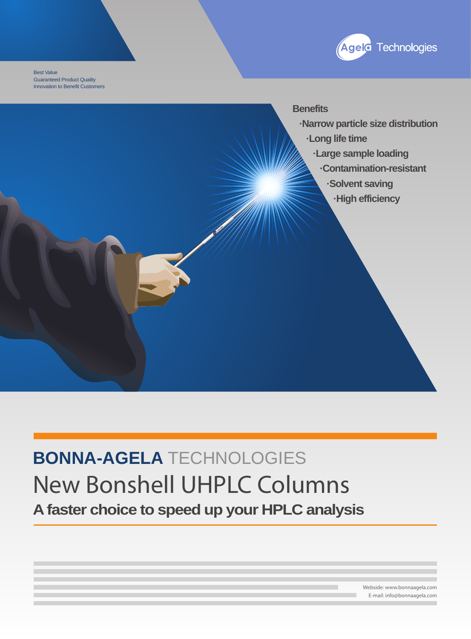

Best Value Guaranteed Product Quality Innovation to Benefit Customers

**Benefits** 

 **·Narrow particle size distribution**

 **·Long life time**

 **·Large sample loading**

 **·Contamination-resistant**

 **·Solvent saving**

 **·High efficiency** 

## **BONNA-AGELA** TECHNOLOGIES **New Bonshell UHPLC Columns A faster choice to speed up your HPLC analysis**

Webside: www.bonnaagela.com E-mail: info@bonnaagela.com